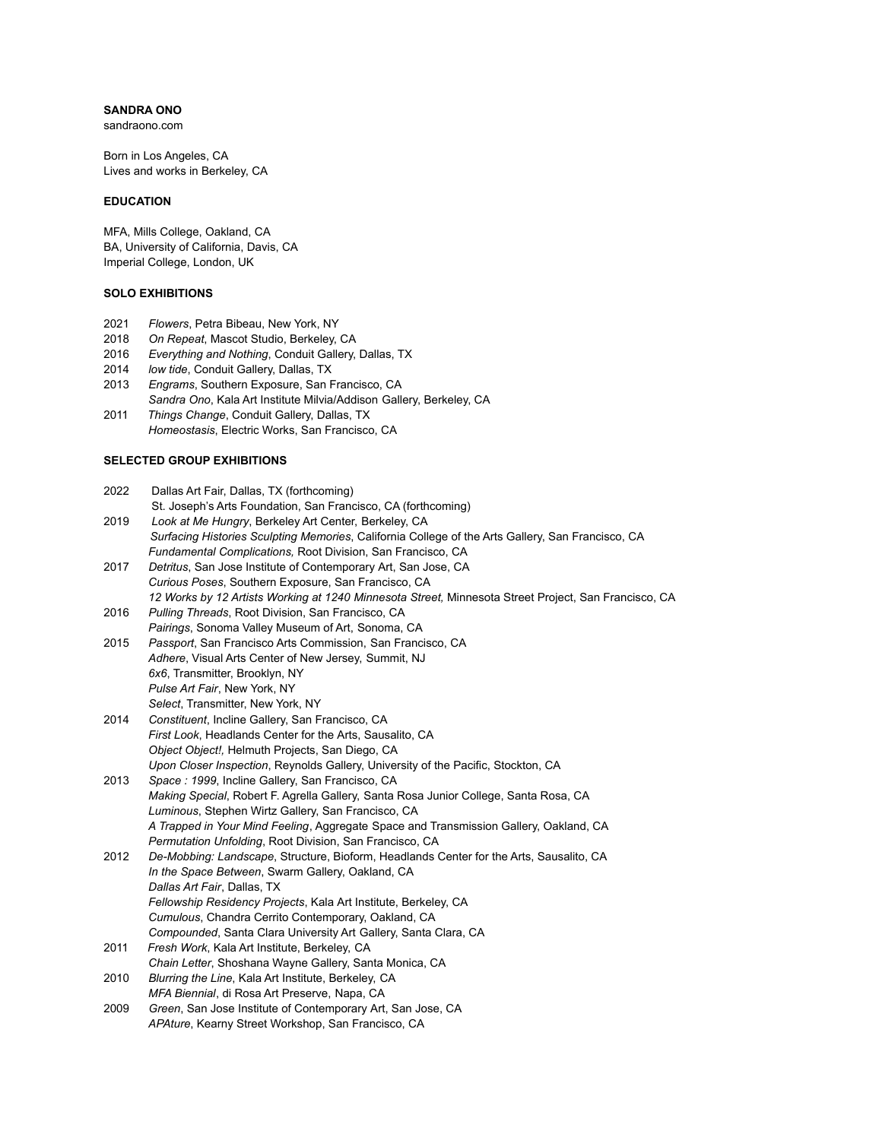# **SANDRA ONO**

sandraono.com

Born in Los Angeles, CA Lives and works in Berkeley, CA

## **EDUCATION**

MFA, Mills College, Oakland, CA BA, University of California, Davis, CA Imperial College, London, UK

## **SOLO EXHIBITIONS**

- 2021 *Flowers*, Petra Bibeau, New York, NY
- 2018 *On Repeat*, Mascot Studio, Berkeley, CA
- 2016 *Everything and Nothing*, Conduit Gallery, Dallas, TX
- 2014 *low tide*, Conduit Gallery, Dallas, TX
- 2013 *Engrams*, Southern Exposure, San Francisco, CA *Sandra Ono*, Kala Art Institute Milvia/Addison Gallery, Berkeley, CA
- 2011 *Things Change*, Conduit Gallery, Dallas, TX *Homeostasis*, Electric Works, San Francisco, CA

## **SELECTED GROUP EXHIBITIONS**

| 2022 | Dallas Art Fair, Dallas, TX (forthcoming)                                                            |
|------|------------------------------------------------------------------------------------------------------|
|      | St. Joseph's Arts Foundation, San Francisco, CA (forthcoming)                                        |
| 2019 | Look at Me Hungry, Berkeley Art Center, Berkeley, CA                                                 |
|      | Surfacing Histories Sculpting Memories, California College of the Arts Gallery, San Francisco, CA    |
|      | Fundamental Complications, Root Division, San Francisco, CA                                          |
| 2017 | Detritus, San Jose Institute of Contemporary Art, San Jose, CA                                       |
|      | Curious Poses, Southern Exposure, San Francisco, CA                                                  |
|      | 12 Works by 12 Artists Working at 1240 Minnesota Street, Minnesota Street Project, San Francisco, CA |
| 2016 | Pulling Threads, Root Division, San Francisco, CA                                                    |
|      | Pairings, Sonoma Valley Museum of Art, Sonoma, CA                                                    |
| 2015 | Passport, San Francisco Arts Commission, San Francisco, CA                                           |
|      | Adhere, Visual Arts Center of New Jersey, Summit, NJ                                                 |
|      | 6x6, Transmitter, Brooklyn, NY                                                                       |
|      | Pulse Art Fair, New York, NY                                                                         |
|      | Select, Transmitter, New York, NY                                                                    |
| 2014 | Constituent, Incline Gallery, San Francisco, CA                                                      |
|      | First Look, Headlands Center for the Arts, Sausalito, CA                                             |
|      | Object Object!, Helmuth Projects, San Diego, CA                                                      |
|      | Upon Closer Inspection, Reynolds Gallery, University of the Pacific, Stockton, CA                    |
| 2013 | Space : 1999, Incline Gallery, San Francisco, CA                                                     |
|      | Making Special, Robert F. Agrella Gallery, Santa Rosa Junior College, Santa Rosa, CA                 |
|      | Luminous, Stephen Wirtz Gallery, San Francisco, CA                                                   |
|      | A Trapped in Your Mind Feeling, Aggregate Space and Transmission Gallery, Oakland, CA                |
|      | Permutation Unfolding, Root Division, San Francisco, CA                                              |
| 2012 | De-Mobbing: Landscape, Structure, Bioform, Headlands Center for the Arts, Sausalito, CA              |
|      | In the Space Between, Swarm Gallery, Oakland, CA                                                     |
|      | Dallas Art Fair, Dallas, TX                                                                          |
|      | Fellowship Residency Projects, Kala Art Institute, Berkeley, CA                                      |
|      | Cumulous, Chandra Cerrito Contemporary, Oakland, CA                                                  |
|      | Compounded, Santa Clara University Art Gallery, Santa Clara, CA                                      |
| 2011 | Fresh Work, Kala Art Institute, Berkeley, CA                                                         |
|      | Chain Letter, Shoshana Wayne Gallery, Santa Monica, CA                                               |
| 2010 | Blurring the Line, Kala Art Institute, Berkeley, CA                                                  |
|      | MFA Biennial, di Rosa Art Preserve, Napa, CA                                                         |
| 2009 | Green, San Jose Institute of Contemporary Art, San Jose, CA                                          |
|      | APAture, Kearny Street Workshop, San Francisco, CA                                                   |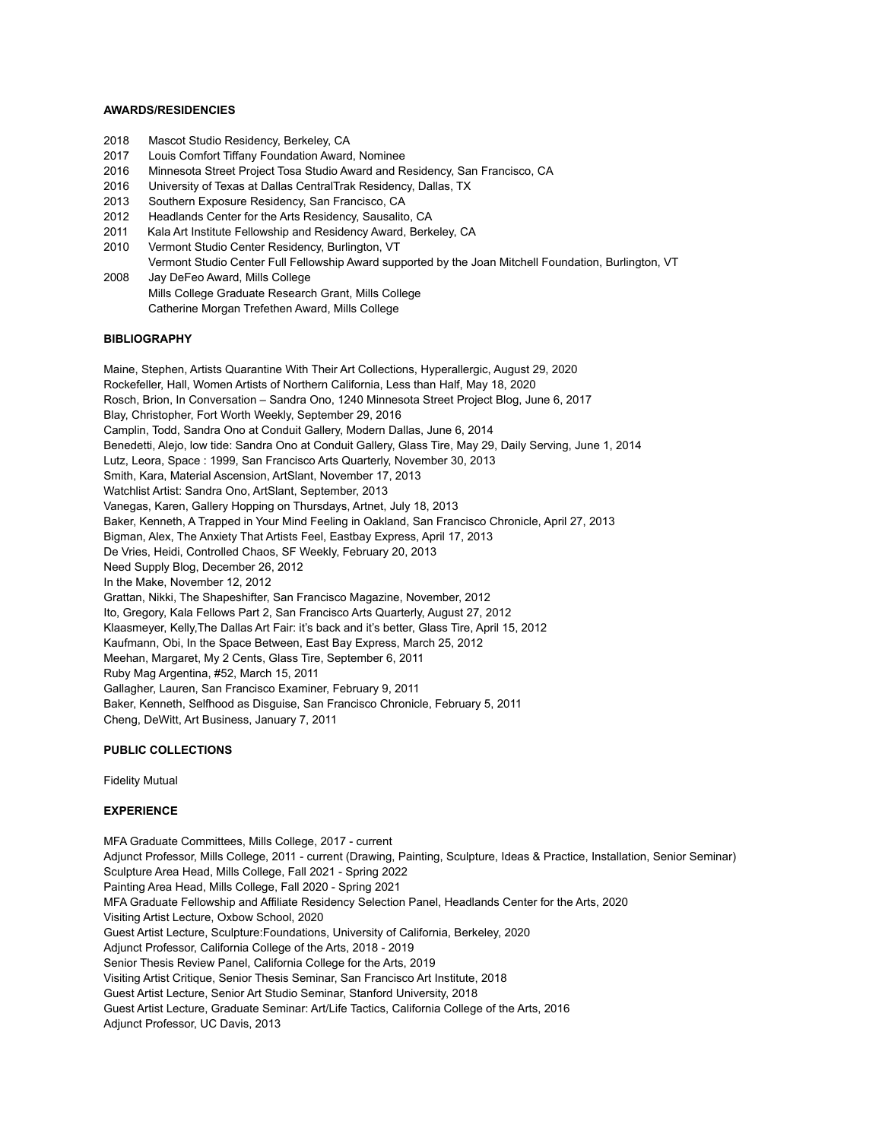#### **AWARDS/RESIDENCIES**

- 2018 Mascot Studio Residency, Berkeley, CA
- 2017 Louis Comfort Tiffany Foundation Award, Nominee
- 2016 Minnesota Street Project Tosa Studio Award and Residency, San Francisco, CA
- 2016 University of Texas at Dallas CentralTrak Residency, Dallas, TX
- 2013 Southern Exposure Residency, San Francisco, CA
- 2012 Headlands Center for the Arts Residency, Sausalito, CA
- 2011 Kala Art Institute Fellowship and Residency Award, Berkeley, CA
- 2010 Vermont Studio Center Residency, Burlington, VT
- Vermont Studio Center Full Fellowship Award supported by the Joan Mitchell Foundation, Burlington, VT
- 2008 Jay DeFeo Award, Mills College Mills College Graduate Research Grant, Mills College Catherine Morgan Trefethen Award, Mills College

#### **BIBLIOGRAPHY**

Maine, Stephen, Artists Quarantine With Their Art Collections, Hyperallergic, August 29, 2020 Rockefeller, Hall, Women Artists of Northern California, Less than Half, May 18, 2020 Rosch, Brion, In Conversation – Sandra Ono, 1240 Minnesota Street Project Blog, June 6, 2017 Blay, Christopher, Fort Worth Weekly, September 29, 2016 Camplin, Todd, Sandra Ono at Conduit Gallery, Modern Dallas, June 6, 2014 Benedetti, Alejo, low tide: Sandra Ono at Conduit Gallery, Glass Tire, May 29, Daily Serving, June 1, 2014 Lutz, Leora, Space : 1999, San Francisco Arts Quarterly, November 30, 2013 Smith, Kara, Material Ascension, ArtSlant, November 17, 2013 Watchlist Artist: Sandra Ono, ArtSlant, September, 2013 Vanegas, Karen, Gallery Hopping on Thursdays, Artnet, July 18, 2013 Baker, Kenneth, A Trapped in Your Mind Feeling in Oakland, San Francisco Chronicle, April 27, 2013 Bigman, Alex, The Anxiety That Artists Feel, Eastbay Express, April 17, 2013 De Vries, Heidi, Controlled Chaos, SF Weekly, February 20, 2013 Need Supply Blog, December 26, 2012 In the Make, November 12, 2012 Grattan, Nikki, The Shapeshifter, San Francisco Magazine, November, 2012 Ito, Gregory, Kala Fellows Part 2, San Francisco Arts Quarterly, August 27, 2012 Klaasmeyer, Kelly,The Dallas Art Fair: it's back and it's better, Glass Tire, April 15, 2012 Kaufmann, Obi, In the Space Between, East Bay Express, March 25, 2012 Meehan, Margaret, My 2 Cents, Glass Tire, September 6, 2011 Ruby Mag Argentina, #52, March 15, 2011 Gallagher, Lauren, San Francisco Examiner, February 9, 2011 Baker, Kenneth, Selfhood as Disguise, San Francisco Chronicle, February 5, 2011 Cheng, DeWitt, Art Business, January 7, 2011

## **PUBLIC COLLECTIONS**

Fidelity Mutual

### **EXPERIENCE**

MFA Graduate Committees, Mills College, 2017 - current Adjunct Professor, Mills College, 2011 - current (Drawing, Painting, Sculpture, Ideas & Practice, Installation, Senior Seminar) Sculpture Area Head, Mills College, Fall 2021 - Spring 2022 Painting Area Head, Mills College, Fall 2020 - Spring 2021 MFA Graduate Fellowship and Affiliate Residency Selection Panel, Headlands Center for the Arts, 2020 Visiting Artist Lecture, Oxbow School, 2020 Guest Artist Lecture, Sculpture:Foundations, University of California, Berkeley, 2020 Adjunct Professor, California College of the Arts, 2018 - 2019 Senior Thesis Review Panel, California College for the Arts, 2019 Visiting Artist Critique, Senior Thesis Seminar, San Francisco Art Institute, 2018 Guest Artist Lecture, Senior Art Studio Seminar, Stanford University, 2018 Guest Artist Lecture, Graduate Seminar: Art/Life Tactics, California College of the Arts, 2016 Adjunct Professor, UC Davis, 2013